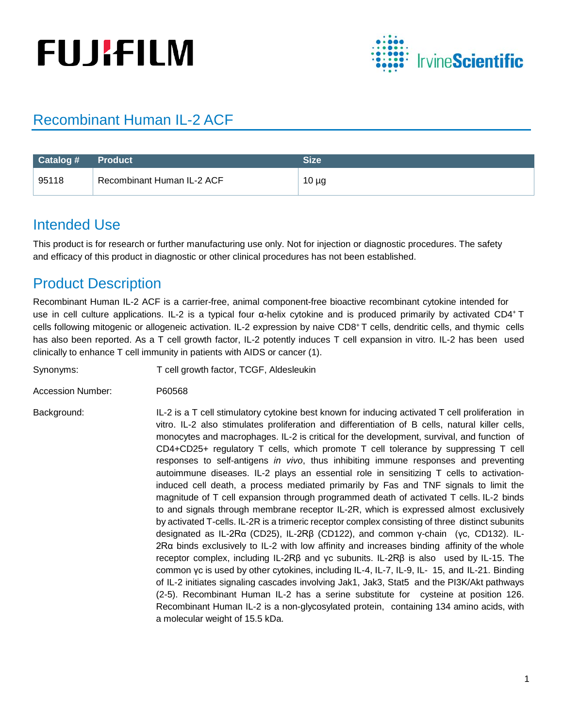# **FUJIFILM**



# Recombinant Human IL-2 ACF

| <b>Catalog #</b> | <b>Product</b>             | <b>Size</b> |
|------------------|----------------------------|-------------|
| 95118            | Recombinant Human IL-2 ACF | $10 \mu g$  |

#### Intended Use

This product is for research or further manufacturing use only. Not for injection or diagnostic procedures. The safety and efficacy of this product in diagnostic or other clinical procedures has not been established.

## Product Description

Recombinant Human IL-2 ACF is a carrier-free, animal component-free bioactive recombinant cytokine intended for use in cell culture applications. IL-2 is a typical four α-helix cytokine and is produced primarily by activated CD4+ T cells following mitogenic or allogeneic activation. IL-2 expression by naive CD8+ T cells, dendritic cells, and thymic cells has also been reported. As a T cell growth factor, IL-2 potently induces T cell expansion in vitro. IL-2 has been used clinically to enhance T cell immunity in patients with AIDS or cancer (1).

Synonyms: T cell growth factor, TCGF, Aldesleukin

Accession Number: P60568

Background: IL-2 is a T cell stimulatory cytokine best known for inducing activated T cell proliferation in vitro. IL-2 also stimulates proliferation and differentiation of B cells, natural killer cells, monocytes and macrophages. IL-2 is critical for the development, survival, and function of CD4+CD25+ regulatory T cells, which promote T cell tolerance by suppressing T cell responses to self-antigens *in vivo*, thus inhibiting immune responses and preventing autoimmune diseases. IL-2 plays an essential role in sensitizing T cells to activationinduced cell death, a process mediated primarily by Fas and TNF signals to limit the magnitude of T cell expansion through programmed death of activated T cells. IL-2 binds to and signals through membrane receptor IL-2R, which is expressed almost exclusively by activated T-cells. IL-2R is a trimeric receptor complex consisting of three distinct subunits designated as IL-2Rα (CD25), IL-2Rβ (CD122), and common γ-chain (γc, CD132). IL-2Rα binds exclusively to IL-2 with low affinity and increases binding affinity of the whole receptor complex, including IL-2Rβ and γc subunits. IL-2Rβ is also used by IL-15. The common γc is used by other cytokines, including IL-4, IL-7, IL-9, IL- 15, and IL-21. Binding of IL-2 initiates signaling cascades involving Jak1, Jak3, Stat5 and the PI3K/Akt pathways (2-5). Recombinant Human IL-2 has a serine substitute for cysteine at position 126. Recombinant Human IL-2 is a non-glycosylated protein, containing 134 amino acids, with a molecular weight of 15.5 kDa.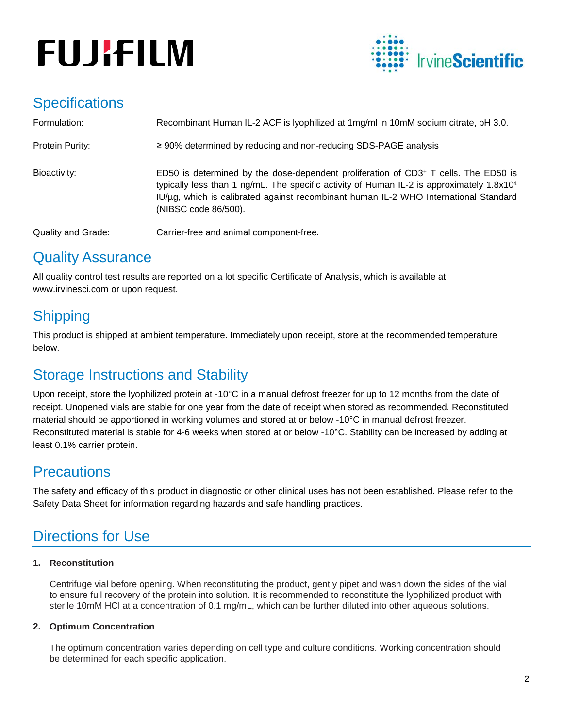# **FUJIFILM**



# **Specifications**

| Formulation:              | Recombinant Human IL-2 ACF is lyophilized at 1mg/ml in 10mM sodium citrate, pH 3.0.                                                                                                                                                                                                                        |
|---------------------------|------------------------------------------------------------------------------------------------------------------------------------------------------------------------------------------------------------------------------------------------------------------------------------------------------------|
| Protein Purity:           | $\geq$ 90% determined by reducing and non-reducing SDS-PAGE analysis                                                                                                                                                                                                                                       |
| Bioactivity:              | ED50 is determined by the dose-dependent proliferation of CD3+ T cells. The ED50 is<br>typically less than 1 ng/mL. The specific activity of Human IL-2 is approximately $1.8 \times 10^4$<br>IU/µg, which is calibrated against recombinant human IL-2 WHO International Standard<br>(NIBSC code 86/500). |
| <b>Quality and Grade:</b> | Carrier-free and animal component-free.                                                                                                                                                                                                                                                                    |

### Quality Assurance

All quality control test results are reported on a lot specific Certificate of Analysis, which is available at www.irvinesci.com or upon request.

# **Shipping**

This product is shipped at ambient temperature. Immediately upon receipt, store at the recommended temperature below.

# Storage Instructions and Stability

Upon receipt, store the lyophilized protein at -10°C in a manual defrost freezer for up to 12 months from the date of receipt. Unopened vials are stable for one year from the date of receipt when stored as recommended. Reconstituted material should be apportioned in working volumes and stored at or below -10°C in manual defrost freezer. Reconstituted material is stable for 4-6 weeks when stored at or below -10°C. Stability can be increased by adding at least 0.1% carrier protein.

### **Precautions**

The safety and efficacy of this product in diagnostic or other clinical uses has not been established. Please refer to the Safety Data Sheet for information regarding hazards and safe handling practices.

# Directions for Use

#### **1. Reconstitution**

Centrifuge vial before opening. When reconstituting the product, gently pipet and wash down the sides of the vial to ensure full recovery of the protein into solution. It is recommended to reconstitute the lyophilized product with sterile 10mM HCl at a concentration of 0.1 mg/mL, which can be further diluted into other aqueous solutions.

#### **2. Optimum Concentration**

The optimum concentration varies depending on cell type and culture conditions. Working concentration should be determined for each specific application.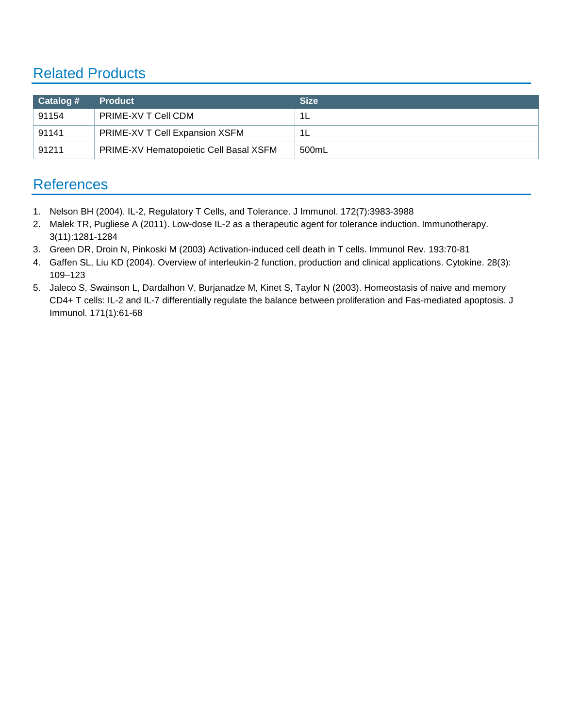# Related Products

| $\vert$ Catalog # | <b>Product</b>                         | <b>Size</b> |
|-------------------|----------------------------------------|-------------|
| 91154             | PRIME-XV T Cell CDM                    | -1L         |
| 91141             | PRIME-XV T Cell Expansion XSFM         | -1L         |
| 91211             | PRIME-XV Hematopoietic Cell Basal XSFM | 500mL       |

### **References**

- 1. Nelson BH (2004). IL-2, Regulatory T Cells, and Tolerance. J Immunol. 172(7):3983-3988
- 2. Malek TR, Pugliese A (2011). Low-dose IL-2 as a therapeutic agent for tolerance induction. Immunotherapy. 3(11):1281-1284
- 3. Green DR, Droin N, Pinkoski M (2003) Activation-induced cell death in T cells. Immunol Rev. 193:70-81
- 4. Gaffen SL, Liu KD (2004). Overview of interleukin-2 function, production and clinical applications. Cytokine. 28(3): 109–123
- 5. Jaleco S, Swainson L, Dardalhon V, Burjanadze M, Kinet S, Taylor N (2003). Homeostasis of naive and memory CD4+ T cells: IL-2 and IL-7 differentially regulate the balance between proliferation and Fas-mediated apoptosis. J Immunol. 171(1):61-68